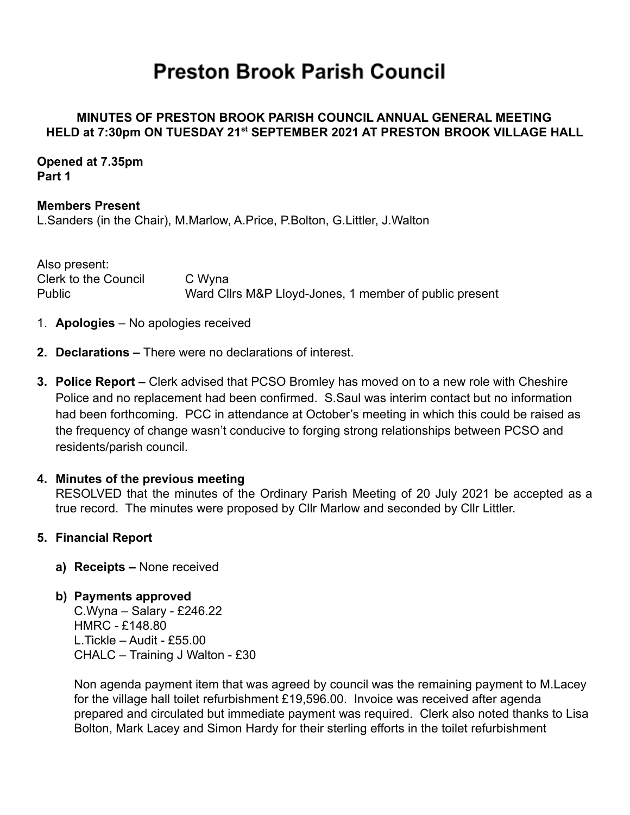# **Preston Brook Parish Council**

## **MINUTES OF PRESTON BROOK PARISH COUNCIL ANNUAL GENERAL MEETING HELD at 7:30pm ON TUESDAY 21st SEPTEMBER 2021 AT PRESTON BROOK VILLAGE HALL**

**Opened at 7.35pm Part 1**

**Members Present** L.Sanders (in the Chair), M.Marlow, A.Price, P.Bolton, G.Littler, J.Walton

Also present: Clerk to the Council C Wyna Public Ward Cllrs M&P Lloyd-Jones, 1 member of public present

- 1. **Apologies** No apologies received
- **2. Declarations –** There were no declarations of interest.
- **3. Police Report –** Clerk advised that PCSO Bromley has moved on to a new role with Cheshire Police and no replacement had been confirmed. S.Saul was interim contact but no information had been forthcoming. PCC in attendance at October's meeting in which this could be raised as the frequency of change wasn't conducive to forging strong relationships between PCSO and residents/parish council.

#### **4. Minutes of the previous meeting**

RESOLVED that the minutes of the Ordinary Parish Meeting of 20 July 2021 be accepted as a true record. The minutes were proposed by Cllr Marlow and seconded by Cllr Littler.

#### **5. Financial Report**

- **a) Receipts –** None received
- **b) Payments approved** C.Wyna – Salary - £246.22 HMRC - £148.80 L.Tickle – Audit - £55.00 CHALC – Training J Walton - £30

Non agenda payment item that was agreed by council was the remaining payment to M.Lacey for the village hall toilet refurbishment £19,596.00. Invoice was received after agenda prepared and circulated but immediate payment was required. Clerk also noted thanks to Lisa Bolton, Mark Lacey and Simon Hardy for their sterling efforts in the toilet refurbishment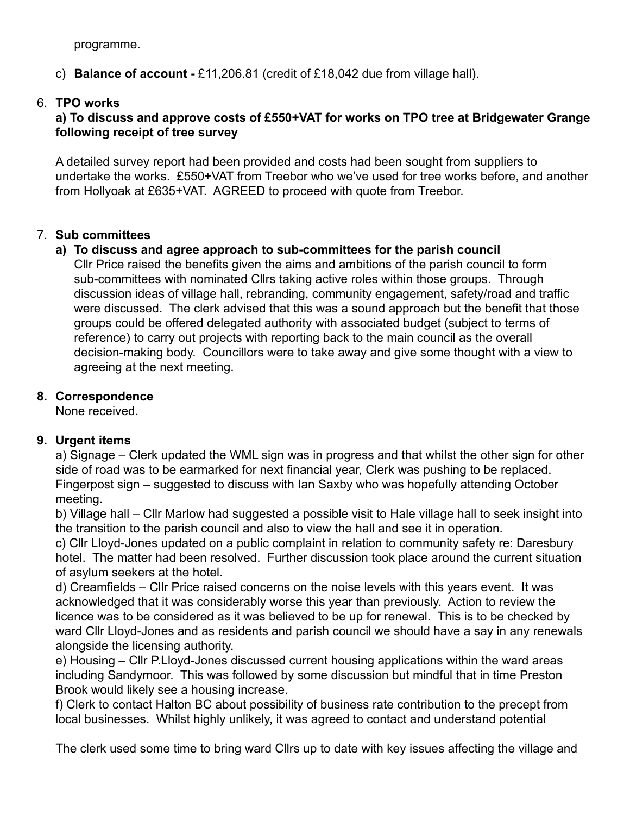programme.

c) **Balance of account -** £11,206.81 (credit of £18,042 due from village hall).

# 6. **TPO works**

# **a) To discuss and approve costs of £550+VAT for works on TPO tree at Bridgewater Grange following receipt of tree survey**

A detailed survey report had been provided and costs had been sought from suppliers to undertake the works. £550+VAT from Treebor who we've used for tree works before, and another from Hollyoak at £635+VAT. AGREED to proceed with quote from Treebor.

# 7. **Sub committees**

# **a) To discuss and agree approach to sub-committees for the parish council**

Cllr Price raised the benefits given the aims and ambitions of the parish council to form sub-committees with nominated Cllrs taking active roles within those groups. Through discussion ideas of village hall, rebranding, community engagement, safety/road and traffic were discussed. The clerk advised that this was a sound approach but the benefit that those groups could be offered delegated authority with associated budget (subject to terms of reference) to carry out projects with reporting back to the main council as the overall decision-making body. Councillors were to take away and give some thought with a view to agreeing at the next meeting.

# **8. Correspondence**

None received.

# **9. Urgent items**

a) Signage – Clerk updated the WML sign was in progress and that whilst the other sign for other side of road was to be earmarked for next financial year, Clerk was pushing to be replaced. Fingerpost sign – suggested to discuss with Ian Saxby who was hopefully attending October meeting.

b) Village hall – Cllr Marlow had suggested a possible visit to Hale village hall to seek insight into the transition to the parish council and also to view the hall and see it in operation.

c) Cllr Lloyd-Jones updated on a public complaint in relation to community safety re: Daresbury hotel. The matter had been resolved. Further discussion took place around the current situation of asylum seekers at the hotel.

d) Creamfields – Cllr Price raised concerns on the noise levels with this years event. It was acknowledged that it was considerably worse this year than previously. Action to review the licence was to be considered as it was believed to be up for renewal. This is to be checked by ward Cllr Lloyd-Jones and as residents and parish council we should have a say in any renewals alongside the licensing authority.

e) Housing – Cllr P.Lloyd-Jones discussed current housing applications within the ward areas including Sandymoor. This was followed by some discussion but mindful that in time Preston Brook would likely see a housing increase.

f) Clerk to contact Halton BC about possibility of business rate contribution to the precept from local businesses. Whilst highly unlikely, it was agreed to contact and understand potential

The clerk used some time to bring ward Cllrs up to date with key issues affecting the village and